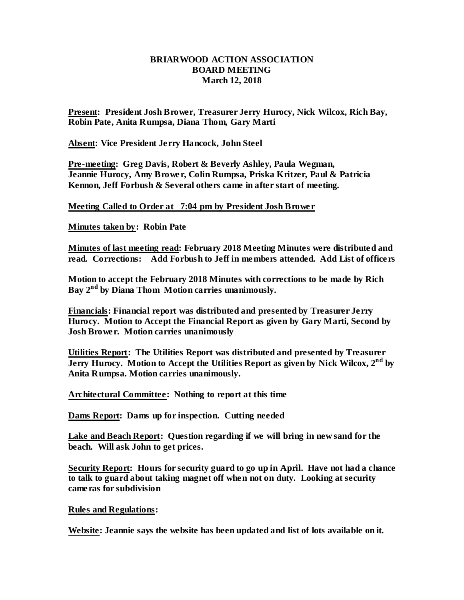## **BRIARWOOD ACTION ASSOCIATION BOARD MEETING March 12, 2018**

**Present: President Josh Brower, Treasurer Jerry Hurocy, Nick Wilcox, Rich Bay, Robin Pate, Anita Rumpsa, Diana Thom, Gary Marti**

**Absent: Vice President Jerry Hancock, John Steel**

**Pre-meeting: Greg Davis, Robert & Beverly Ashley, Paula Wegman, Jeannie Hurocy, Amy Brower, Colin Rumpsa, Priska Kritzer, Paul & Patricia Kennon, Jeff Forbush & Several others came in after start of meeting.**

**Meeting Called to Order at 7:04 pm by President Josh Brower**

**Minutes taken by: Robin Pate**

**Minutes of last meeting read: February 2018 Meeting Minutes were distributed and read. Corrections: Add Forbush to Jeff in members attended. Add List of officers**

**Motion to accept the February 2018 Minutes with corrections to be made by Rich Bay 2 nd by Diana Thom Motion carries unanimously.**

**Financials: Financial report was distributed and presented by Treasurer Jerry Hurocy. Motion to Accept the Financial Report as given by Gary Marti, Second by Josh Brower. Motion carries unanimously** 

**Utilities Report: The Utilities Report was distributed and presented by Treasurer Jerry Hurocy. Motion to Accept the Utilities Report as given by Nick Wilcox, 2nd by Anita Rumpsa. Motion carries unanimously.**

**Architectural Committee: Nothing to report at this time**

**Dams Report: Dams up for inspection. Cutting needed**

**Lake and Beach Report: Question regarding if we will bring in new sand for the beach. Will ask John to get prices.** 

**Security Report: Hours for security guard to go up in April. Have not had a chance to talk to guard about taking magnet off when not on duty. Looking at security cameras for subdivision**

**Rules and Regulations:** 

**Website: Jeannie says the website has been updated and list of lots available on it.**